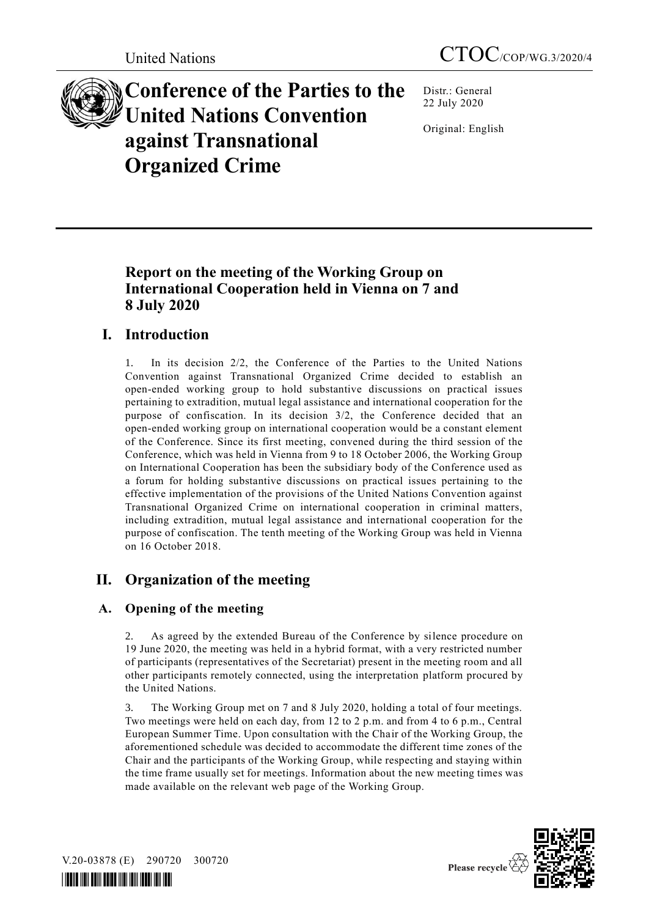

**Conference of the Parties to the United Nations Convention against Transnational Organized Crime**

Distr.: General 22 July 2020

Original: English

# **Report on the meeting of the Working Group on International Cooperation held in Vienna on 7 and 8 July 2020**

# **I. Introduction**

1. In its decision 2/2, the Conference of the Parties to the United Nations Convention against Transnational Organized Crime decided to establish an open-ended working group to hold substantive discussions on practical issues pertaining to extradition, mutual legal assistance and international cooperation for the purpose of confiscation. In its decision 3/2, the Conference decided that an open-ended working group on international cooperation would be a constant element of the Conference. Since its first meeting, convened during the third session of the Conference, which was held in Vienna from 9 to 18 October 2006, the Working Group on International Cooperation has been the subsidiary body of the Conference used as a forum for holding substantive discussions on practical issues pertaining to the effective implementation of the provisions of the United Nations Convention against Transnational Organized Crime on international cooperation in criminal matters, including extradition, mutual legal assistance and international cooperation for the purpose of confiscation. The tenth meeting of the Working Group was held in Vienna on 16 October 2018.

# **II. Organization of the meeting**

# **A. Opening of the meeting**

2. As agreed by the extended Bureau of the Conference by silence procedure on 19 June 2020, the meeting was held in a hybrid format, with a very restricted number of participants (representatives of the Secretariat) present in the meeting room and all other participants remotely connected, using the interpretation platform procured by the United Nations.

3. The Working Group met on 7 and 8 July 2020, holding a total of four meetings. Two meetings were held on each day, from 12 to 2 p.m. and from 4 to 6 p.m., Central European Summer Time. Upon consultation with the Chair of the Working Group, the aforementioned schedule was decided to accommodate the different time zones of the Chair and the participants of the Working Group, while respecting and staying within the time frame usually set for meetings. Information about the new meeting times was made available on the relevant web page of the Working Group.



V.20-03878 (E) 290720 300720

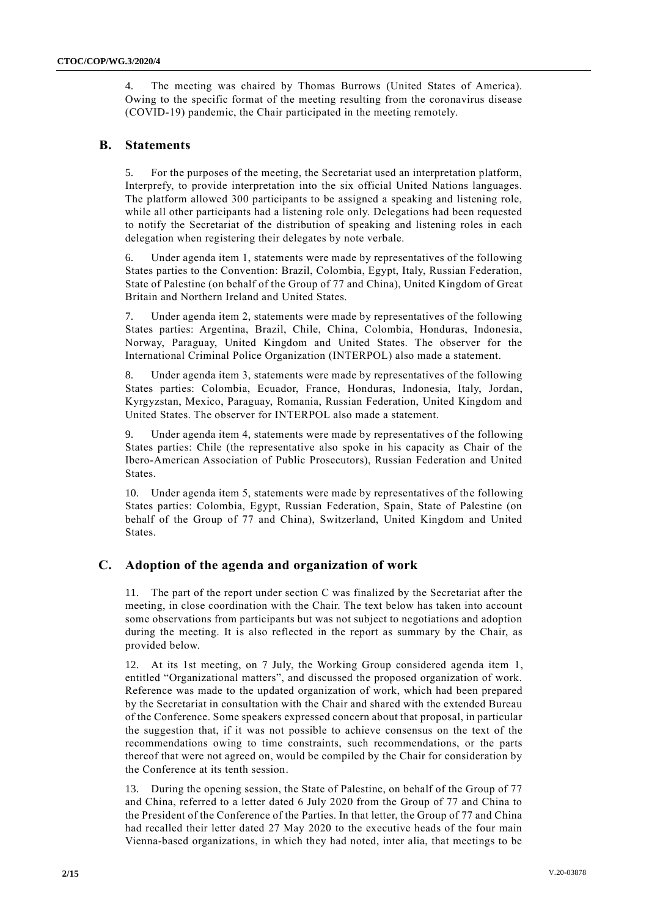4. The meeting was chaired by Thomas Burrows (United States of America). Owing to the specific format of the meeting resulting from the coronavirus disease (COVID-19) pandemic, the Chair participated in the meeting remotely.

#### **B. Statements**

5. For the purposes of the meeting, the Secretariat used an interpretation platform, Interprefy, to provide interpretation into the six official United Nations languages. The platform allowed 300 participants to be assigned a speaking and listening role, while all other participants had a listening role only. Delegations had been requested to notify the Secretariat of the distribution of speaking and listening roles in each delegation when registering their delegates by note verbale.

6. Under agenda item 1, statements were made by representatives of the following States parties to the Convention: Brazil, Colombia, Egypt, Italy, Russian Federation, State of Palestine (on behalf of the Group of 77 and China), United Kingdom of Great Britain and Northern Ireland and United States.

7. Under agenda item 2, statements were made by representatives of the following States parties: Argentina, Brazil, Chile, China, Colombia, Honduras, Indonesia, Norway, Paraguay, United Kingdom and United States. The observer for the International Criminal Police Organization (INTERPOL) also made a statement.

8. Under agenda item 3, statements were made by representatives of the following States parties: Colombia, Ecuador, France, Honduras, Indonesia, Italy, Jordan, Kyrgyzstan, Mexico, Paraguay, Romania, Russian Federation, United Kingdom and United States. The observer for INTERPOL also made a statement.

9. Under agenda item 4, statements were made by representatives of the following States parties: Chile (the representative also spoke in his capacity as Chair of the Ibero-American Association of Public Prosecutors), Russian Federation and United States.

10. Under agenda item 5, statements were made by representatives of the following States parties: Colombia, Egypt, Russian Federation, Spain, State of Palestine (on behalf of the Group of 77 and China), Switzerland, United Kingdom and United **States**.

## **C. Adoption of the agenda and organization of work**

11. The part of the report under section C was finalized by the Secretariat after the meeting, in close coordination with the Chair. The text below has taken into account some observations from participants but was not subject to negotiations and adoption during the meeting. It is also reflected in the report as summary by the Chair, as provided below.

12. At its 1st meeting, on 7 July, the Working Group considered agenda item 1, entitled "Organizational matters", and discussed the proposed organization of work. Reference was made to the updated organization of work, which had been prepared by the Secretariat in consultation with the Chair and shared with the extended Bureau of the Conference. Some speakers expressed concern about that proposal, in particular the suggestion that, if it was not possible to achieve consensus on the text of the recommendations owing to time constraints, such recommendations, or the parts thereof that were not agreed on, would be compiled by the Chair for consideration by the Conference at its tenth session.

13. During the opening session, the State of Palestine, on behalf of the Group of 77 and China, referred to a letter dated 6 July 2020 from the Group of 77 and China to the President of the Conference of the Parties. In that letter, the Group of 77 and China had recalled their letter dated 27 May 2020 to the executive heads of the four main Vienna-based organizations, in which they had noted, inter alia, that meetings to be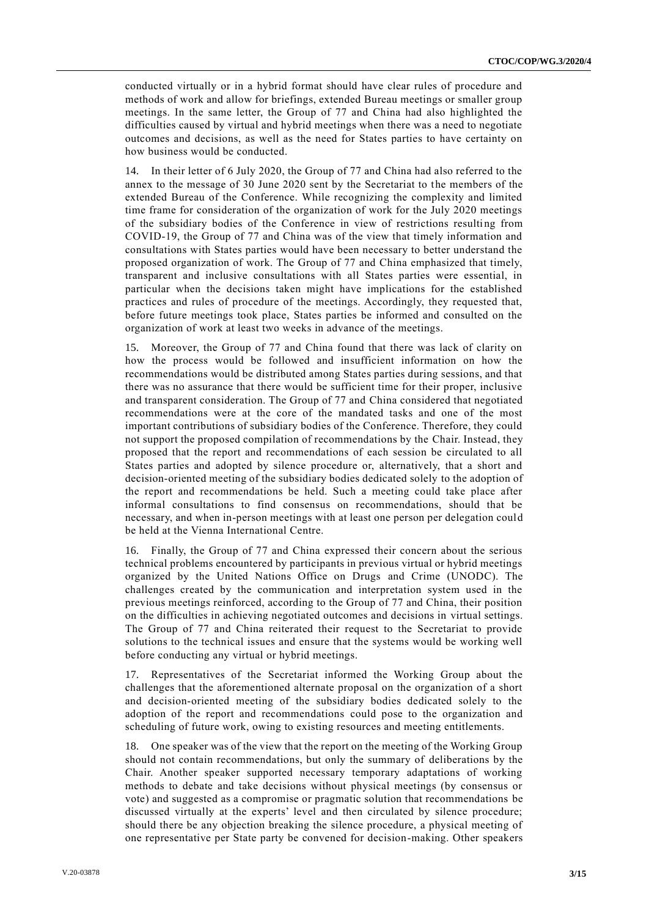conducted virtually or in a hybrid format should have clear rules of procedure and methods of work and allow for briefings, extended Bureau meetings or smaller group meetings. In the same letter, the Group of 77 and China had also highlighted the difficulties caused by virtual and hybrid meetings when there was a need to negotiate outcomes and decisions, as well as the need for States parties to have certainty on how business would be conducted.

14. In their letter of 6 July 2020, the Group of 77 and China had also referred to the annex to the message of 30 June 2020 sent by the Secretariat to the members of the extended Bureau of the Conference. While recognizing the complexity and limited time frame for consideration of the organization of work for the July 2020 meetings of the subsidiary bodies of the Conference in view of restrictions resulting from COVID-19, the Group of 77 and China was of the view that timely information and consultations with States parties would have been necessary to better understand the proposed organization of work. The Group of 77 and China emphasized that timely, transparent and inclusive consultations with all States parties were essential, in particular when the decisions taken might have implications for the established practices and rules of procedure of the meetings. Accordingly, they requested that, before future meetings took place, States parties be informed and consulted on the organization of work at least two weeks in advance of the meetings.

15. Moreover, the Group of 77 and China found that there was lack of clarity on how the process would be followed and insufficient information on how the recommendations would be distributed among States parties during sessions, and that there was no assurance that there would be sufficient time for their proper, inclusive and transparent consideration. The Group of 77 and China considered that negotiated recommendations were at the core of the mandated tasks and one of the most important contributions of subsidiary bodies of the Conference. Therefore, they could not support the proposed compilation of recommendations by the Chair. Instead, they proposed that the report and recommendations of each session be circulated to all States parties and adopted by silence procedure or, alternatively, that a short and decision-oriented meeting of the subsidiary bodies dedicated solely to the adoption of the report and recommendations be held. Such a meeting could take place after informal consultations to find consensus on recommendations, should that be necessary, and when in-person meetings with at least one person per delegation could be held at the Vienna International Centre.

16. Finally, the Group of 77 and China expressed their concern about the serious technical problems encountered by participants in previous virtual or hybrid meetings organized by the United Nations Office on Drugs and Crime (UNODC). The challenges created by the communication and interpretation system used in the previous meetings reinforced, according to the Group of 77 and China, their position on the difficulties in achieving negotiated outcomes and decisions in virtual settings. The Group of 77 and China reiterated their request to the Secretariat to provide solutions to the technical issues and ensure that the systems would be working well before conducting any virtual or hybrid meetings.

17. Representatives of the Secretariat informed the Working Group about the challenges that the aforementioned alternate proposal on the organization of a short and decision-oriented meeting of the subsidiary bodies dedicated solely to the adoption of the report and recommendations could pose to the organization and scheduling of future work, owing to existing resources and meeting entitlements.

18. One speaker was of the view that the report on the meeting of the Working Group should not contain recommendations, but only the summary of deliberations by the Chair. Another speaker supported necessary temporary adaptations of working methods to debate and take decisions without physical meetings (by consensus or vote) and suggested as a compromise or pragmatic solution that recommendations be discussed virtually at the experts' level and then circulated by silence procedure; should there be any objection breaking the silence procedure, a physical meeting of one representative per State party be convened for decision-making. Other speakers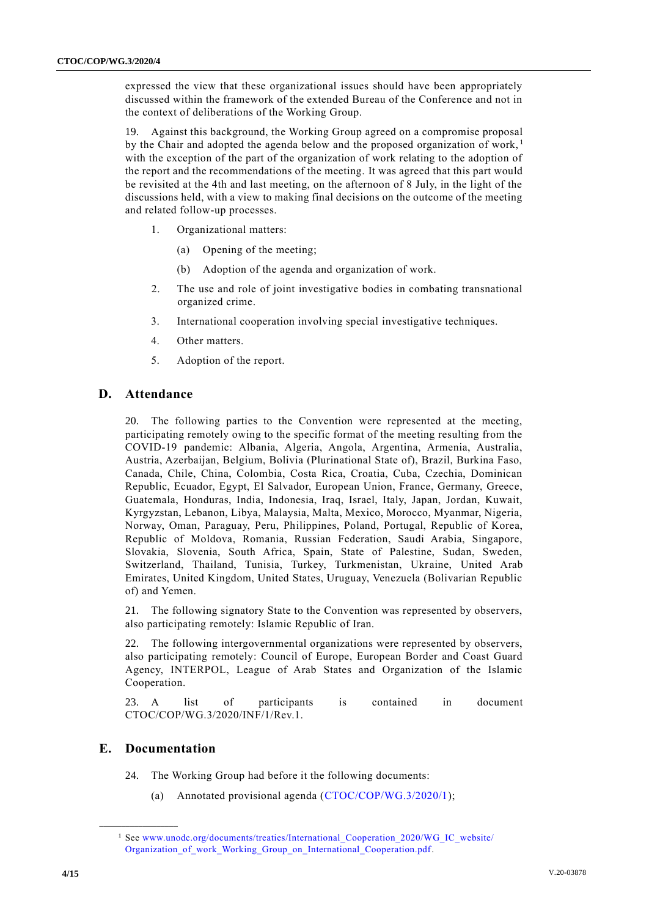expressed the view that these organizational issues should have been appropriately discussed within the framework of the extended Bureau of the Conference and not in the context of deliberations of the Working Group.

19. Against this background, the Working Group agreed on a compromise proposal by the Chair and adopted the agenda below and the proposed organization of work,  $\frac{1}{1}$ with the exception of the part of the organization of work relating to the adoption of the report and the recommendations of the meeting. It was agreed that this part would be revisited at the 4th and last meeting, on the afternoon of 8 July, in the light of the discussions held, with a view to making final decisions on the outcome of the meeting and related follow-up processes.

- 1. Organizational matters:
	- (a) Opening of the meeting;
	- (b) Adoption of the agenda and organization of work.
- 2. The use and role of joint investigative bodies in combating transnational organized crime.
- 3. International cooperation involving special investigative techniques.
- 4. Other matters.
- 5. Adoption of the report.

#### **D. Attendance**

20. The following parties to the Convention were represented at the meeting, participating remotely owing to the specific format of the meeting resulting from the COVID-19 pandemic: Albania, Algeria, Angola, Argentina, Armenia, Australia, Austria, Azerbaijan, Belgium, Bolivia (Plurinational State of), Brazil, Burkina Faso, Canada, Chile, China, Colombia, Costa Rica, Croatia, Cuba, Czechia, Dominican Republic, Ecuador, Egypt, El Salvador, European Union, France, Germany, Greece, Guatemala, Honduras, India, Indonesia, Iraq, Israel, Italy, Japan, Jordan, Kuwait, Kyrgyzstan, Lebanon, Libya, Malaysia, Malta, Mexico, Morocco, Myanmar, Nigeria, Norway, Oman, Paraguay, Peru, Philippines, Poland, Portugal, Republic of Korea, Republic of Moldova, Romania, Russian Federation, Saudi Arabia, Singapore, Slovakia, Slovenia, South Africa, Spain, State of Palestine, Sudan, Sweden, Switzerland, Thailand, Tunisia, Turkey, Turkmenistan, Ukraine, United Arab Emirates, United Kingdom, United States, Uruguay, Venezuela (Bolivarian Republic of) and Yemen.

21. The following signatory State to the Convention was represented by observers, also participating remotely: Islamic Republic of Iran.

22. The following intergovernmental organizations were represented by observers, also participating remotely: Council of Europe, European Border and Coast Guard Agency, INTERPOL, League of Arab States and Organization of the Islamic Cooperation.

23. A list of participants is contained in document CTOC/COP/WG.3/2020/INF/1/Rev.1.

## **E. Documentation**

- 24. The Working Group had before it the following documents:
	- (a) Annotated provisional agenda [\(CTOC/COP/WG.3/2020/1\)](http://undocs.org/CTOC/COP/WG.3/2020/1);

<sup>&</sup>lt;sup>1</sup> See [www.unodc.org/documents/treaties/International\\_Cooperation\\_2020/WG\\_IC\\_website/](http://www.unodc.org/documents/treaties/International_Cooperation_2020/WG_IC_website/%0bOrganization_of_work_Working_Group_on_International_Cooperation.pdf) Organization of work Working Group on International Cooperation.pdf.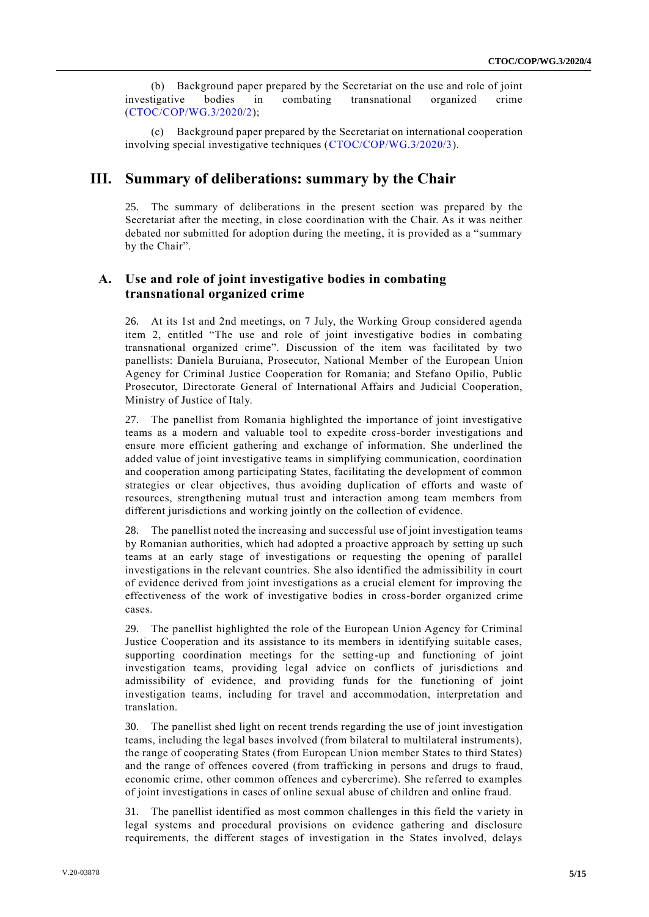(b) Background paper prepared by the Secretariat on the use and role of joint investigative bodies in combating transnational organized crime [\(CTOC/COP/WG.3/2020/2\)](http://undocs.org/CTOC/COP/WG.3/2020/2);

(c) Background paper prepared by the Secretariat on international cooperation involving special investigative techniques [\(CTOC/COP/WG.3/2020/3\)](http://undocs.org/CTOC/COP/WG.3/2020/3).

## **III. Summary of deliberations: summary by the Chair**

25. The summary of deliberations in the present section was prepared by the Secretariat after the meeting, in close coordination with the Chair. As it was neither debated nor submitted for adoption during the meeting, it is provided as a "summary by the Chair".

### **A. Use and role of joint investigative bodies in combating transnational organized crime**

26. At its 1st and 2nd meetings, on 7 July, the Working Group considered agenda item 2, entitled "The use and role of joint investigative bodies in combating transnational organized crime". Discussion of the item was facilitated by two panellists: Daniela Buruiana, Prosecutor, National Member of the European Union Agency for Criminal Justice Cooperation for Romania; and Stefano Opilio, Public Prosecutor, Directorate General of International Affairs and Judicial Cooperation, Ministry of Justice of Italy.

27. The panellist from Romania highlighted the importance of joint investigative teams as a modern and valuable tool to expedite cross-border investigations and ensure more efficient gathering and exchange of information. She underlined the added value of joint investigative teams in simplifying communication, coordination and cooperation among participating States, facilitating the development of common strategies or clear objectives, thus avoiding duplication of efforts and waste of resources, strengthening mutual trust and interaction among team members from different jurisdictions and working jointly on the collection of evidence.

28. The panellist noted the increasing and successful use of joint investigation teams by Romanian authorities, which had adopted a proactive approach by setting up such teams at an early stage of investigations or requesting the opening of parallel investigations in the relevant countries. She also identified the admissibility in court of evidence derived from joint investigations as a crucial element for improving the effectiveness of the work of investigative bodies in cross-border organized crime cases.

29. The panellist highlighted the role of the European Union Agency for Criminal Justice Cooperation and its assistance to its members in identifying suitable cases, supporting coordination meetings for the setting-up and functioning of joint investigation teams, providing legal advice on conflicts of jurisdictions and admissibility of evidence, and providing funds for the functioning of joint investigation teams, including for travel and accommodation, interpretation and translation.

30. The panellist shed light on recent trends regarding the use of joint investigation teams, including the legal bases involved (from bilateral to multilateral instruments), the range of cooperating States (from European Union member States to third States) and the range of offences covered (from trafficking in persons and drugs to fraud, economic crime, other common offences and cybercrime). She referred to examples of joint investigations in cases of online sexual abuse of children and online fraud.

31. The panellist identified as most common challenges in this field the variety in legal systems and procedural provisions on evidence gathering and disclosure requirements, the different stages of investigation in the States involved, delays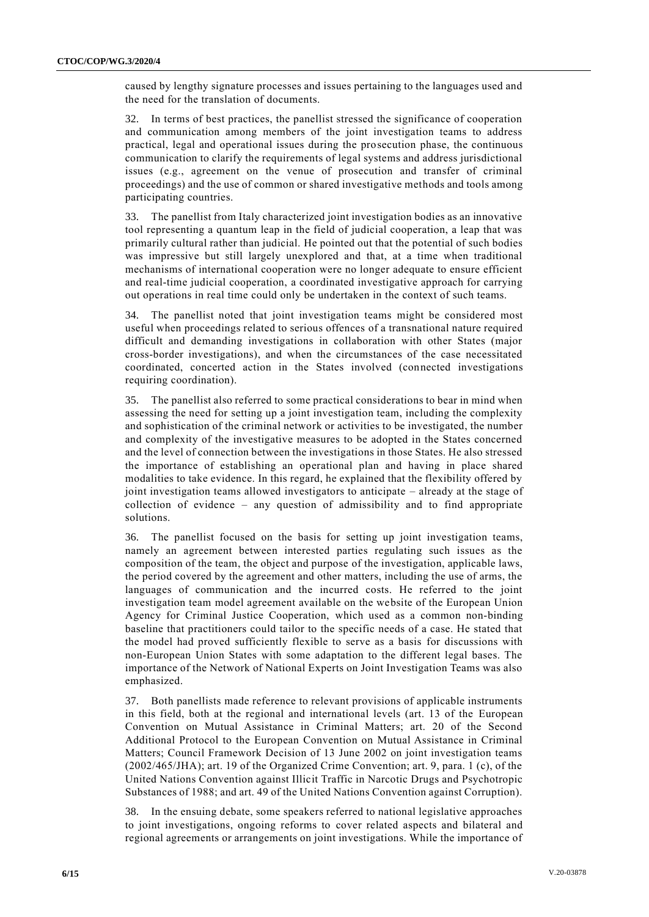caused by lengthy signature processes and issues pertaining to the languages used and the need for the translation of documents.

32. In terms of best practices, the panellist stressed the significance of cooperation and communication among members of the joint investigation teams to address practical, legal and operational issues during the prosecution phase, the continuous communication to clarify the requirements of legal systems and address jurisdictional issues (e.g., agreement on the venue of prosecution and transfer of criminal proceedings) and the use of common or shared investigative methods and tools among participating countries.

33. The panellist from Italy characterized joint investigation bodies as an innovative tool representing a quantum leap in the field of judicial cooperation, a leap that was primarily cultural rather than judicial. He pointed out that the potential of such bodies was impressive but still largely unexplored and that, at a time when traditional mechanisms of international cooperation were no longer adequate to ensure efficient and real-time judicial cooperation, a coordinated investigative approach for carrying out operations in real time could only be undertaken in the context of such teams.

34. The panellist noted that joint investigation teams might be considered most useful when proceedings related to serious offences of a transnational nature required difficult and demanding investigations in collaboration with other States (major cross-border investigations), and when the circumstances of the case necessitated coordinated, concerted action in the States involved (connected investigations requiring coordination).

35. The panellist also referred to some practical considerations to bear in mind when assessing the need for setting up a joint investigation team, including the complexity and sophistication of the criminal network or activities to be investigated, the number and complexity of the investigative measures to be adopted in the States concerned and the level of connection between the investigations in those States. He also stressed the importance of establishing an operational plan and having in place shared modalities to take evidence. In this regard, he explained that the flexibility offered by joint investigation teams allowed investigators to anticipate – already at the stage of collection of evidence – any question of admissibility and to find appropriate solutions.

36. The panellist focused on the basis for setting up joint investigation teams, namely an agreement between interested parties regulating such issues as the composition of the team, the object and purpose of the investigation, applicable laws, the period covered by the agreement and other matters, including the use of arms, the languages of communication and the incurred costs. He referred to the joint investigation team model agreement available on the website of the European Union Agency for Criminal Justice Cooperation, which used as a common non-binding baseline that practitioners could tailor to the specific needs of a case. He stated that the model had proved sufficiently flexible to serve as a basis for discussions with non-European Union States with some adaptation to the different legal bases. The importance of the Network of National Experts on Joint Investigation Teams was also emphasized.

37. Both panellists made reference to relevant provisions of applicable instruments in this field, both at the regional and international levels (art. 13 of the European Convention on Mutual Assistance in Criminal Matters; art. 20 of the Second Additional Protocol to the European Convention on Mutual Assistance in Criminal Matters; Council Framework Decision of 13 June 2002 on joint investigation teams (2002/465/JHA); art. 19 of the Organized Crime Convention; art. 9, para. 1 (c), of the United Nations Convention against Illicit Traffic in Narcotic Drugs and Psychotropic Substances of 1988; and art. 49 of the United Nations Convention against Corruption).

38. In the ensuing debate, some speakers referred to national legislative approaches to joint investigations, ongoing reforms to cover related aspects and bilateral and regional agreements or arrangements on joint investigations. While the importance of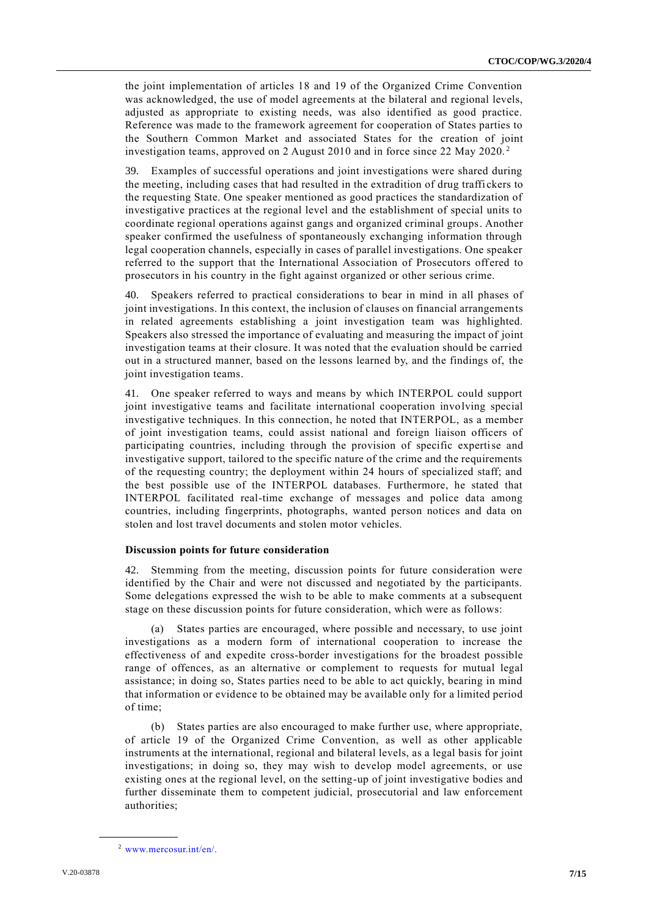the joint implementation of articles 18 and 19 of the Organized Crime Convention was acknowledged, the use of model agreements at the bilateral and regional levels, adjusted as appropriate to existing needs, was also identified as good practice. Reference was made to the framework agreement for cooperation of States parties to the Southern Common Market and associated States for the creation of joint investigation teams, approved on 2 August 2010 and in force since 22 May 2020. <sup>2</sup>

39. Examples of successful operations and joint investigations were shared during the meeting, including cases that had resulted in the extradition of drug traffi ckers to the requesting State. One speaker mentioned as good practices the standardization of investigative practices at the regional level and the establishment of special units to coordinate regional operations against gangs and organized criminal groups. Another speaker confirmed the usefulness of spontaneously exchanging information through legal cooperation channels, especially in cases of parallel investigations. One speaker referred to the support that the International Association of Prosecutors off ered to prosecutors in his country in the fight against organized or other serious crime.

40. Speakers referred to practical considerations to bear in mind in all phases of joint investigations. In this context, the inclusion of clauses on financial arrangements in related agreements establishing a joint investigation team was highlighted. Speakers also stressed the importance of evaluating and measuring the impact of joint investigation teams at their closure. It was noted that the evaluation should be carried out in a structured manner, based on the lessons learned by, and the findings of, the joint investigation teams.

41. One speaker referred to ways and means by which INTERPOL could support joint investigative teams and facilitate international cooperation involving special investigative techniques. In this connection, he noted that INTERPOL, as a member of joint investigation teams, could assist national and foreign liaison officers of participating countries, including through the provision of specific expertise and investigative support, tailored to the specific nature of the crime and the requirements of the requesting country; the deployment within 24 hours of specialized staff; and the best possible use of the INTERPOL databases. Furthermore, he stated that INTERPOL facilitated real-time exchange of messages and police data among countries, including fingerprints, photographs, wanted person notices and data on stolen and lost travel documents and stolen motor vehicles.

#### **Discussion points for future consideration**

42. Stemming from the meeting, discussion points for future consideration were identified by the Chair and were not discussed and negotiated by the participants. Some delegations expressed the wish to be able to make comments at a subsequent stage on these discussion points for future consideration, which were as follows:

(a) States parties are encouraged, where possible and necessary, to use joint investigations as a modern form of international cooperation to increase the effectiveness of and expedite cross-border investigations for the broadest possible range of offences, as an alternative or complement to requests for mutual legal assistance; in doing so, States parties need to be able to act quickly, bearing in mind that information or evidence to be obtained may be available only for a limited period of time;

(b) States parties are also encouraged to make further use, where appropriate, of article 19 of the Organized Crime Convention, as well as other applicable instruments at the international, regional and bilateral levels, as a legal basis for joint investigations; in doing so, they may wish to develop model agreements, or use existing ones at the regional level, on the setting-up of joint investigative bodies and further disseminate them to competent judicial, prosecutorial and law enforcement authorities;

<sup>2</sup> [www.mercosur.int/en/.](http://www.mercosur.int/en/)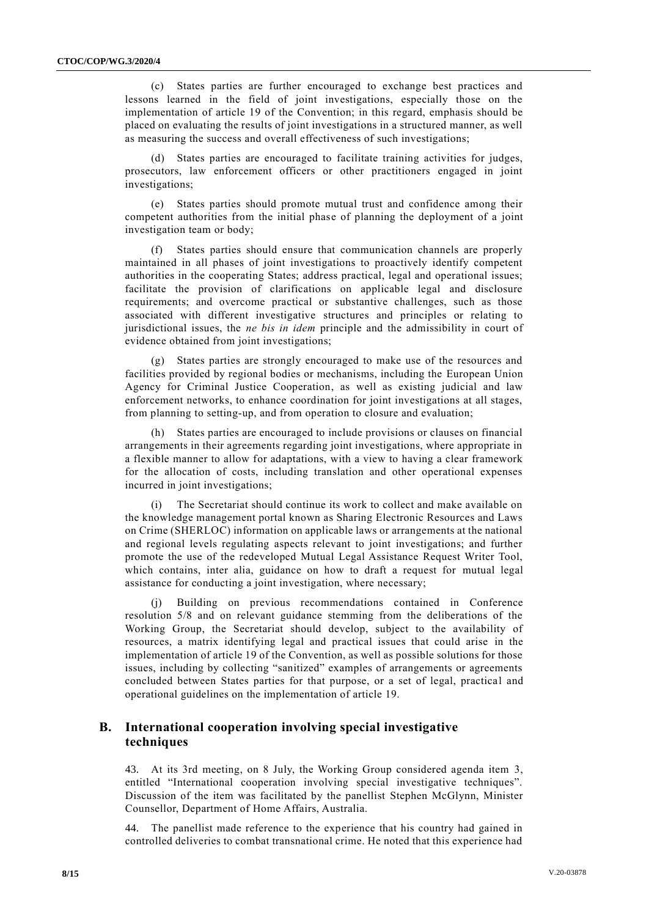(c) States parties are further encouraged to exchange best practices and lessons learned in the field of joint investigations, especially those on the implementation of article 19 of the Convention; in this regard, emphasis should be placed on evaluating the results of joint investigations in a structured manner, as well as measuring the success and overall effectiveness of such investigations;

States parties are encouraged to facilitate training activities for judges, prosecutors, law enforcement officers or other practitioners engaged in joint investigations;

(e) States parties should promote mutual trust and confidence among their competent authorities from the initial phase of planning the deployment of a joint investigation team or body;

States parties should ensure that communication channels are properly maintained in all phases of joint investigations to proactively identify competent authorities in the cooperating States; address practical, legal and operational issues; facilitate the provision of clarifications on applicable legal and disclosure requirements; and overcome practical or substantive challenges, such as those associated with different investigative structures and principles or relating to jurisdictional issues, the *ne bis in idem* principle and the admissibility in court of evidence obtained from joint investigations;

(g) States parties are strongly encouraged to make use of the resources and facilities provided by regional bodies or mechanisms, including the European Union Agency for Criminal Justice Cooperation, as well as existing judicial and law enforcement networks, to enhance coordination for joint investigations at all stages, from planning to setting-up, and from operation to closure and evaluation;

(h) States parties are encouraged to include provisions or clauses on financial arrangements in their agreements regarding joint investigations, where appropriate in a flexible manner to allow for adaptations, with a view to having a clear framework for the allocation of costs, including translation and other operational expenses incurred in joint investigations;

(i) The Secretariat should continue its work to collect and make available on the knowledge management portal known as Sharing Electronic Resources and Laws on Crime (SHERLOC) information on applicable laws or arrangements at the national and regional levels regulating aspects relevant to joint investigations; and further promote the use of the redeveloped Mutual Legal Assistance Request Writer Tool, which contains, inter alia, guidance on how to draft a request for mutual legal assistance for conducting a joint investigation, where necessary;

Building on previous recommendations contained in Conference resolution 5/8 and on relevant guidance stemming from the deliberations of the Working Group, the Secretariat should develop, subject to the availability of resources, a matrix identifying legal and practical issues that could arise in the implementation of article 19 of the Convention, as well as possible solutions for those issues, including by collecting "sanitized" examples of arrangements or agreements concluded between States parties for that purpose, or a set of legal, practical and operational guidelines on the implementation of article 19.

#### **B. International cooperation involving special investigative techniques**

43. At its 3rd meeting, on 8 July, the Working Group considered agenda item 3, entitled "International cooperation involving special investigative techniques". Discussion of the item was facilitated by the panellist Stephen McGlynn, Minister Counsellor, Department of Home Affairs, Australia.

44. The panellist made reference to the experience that his country had gained in controlled deliveries to combat transnational crime. He noted that this experience had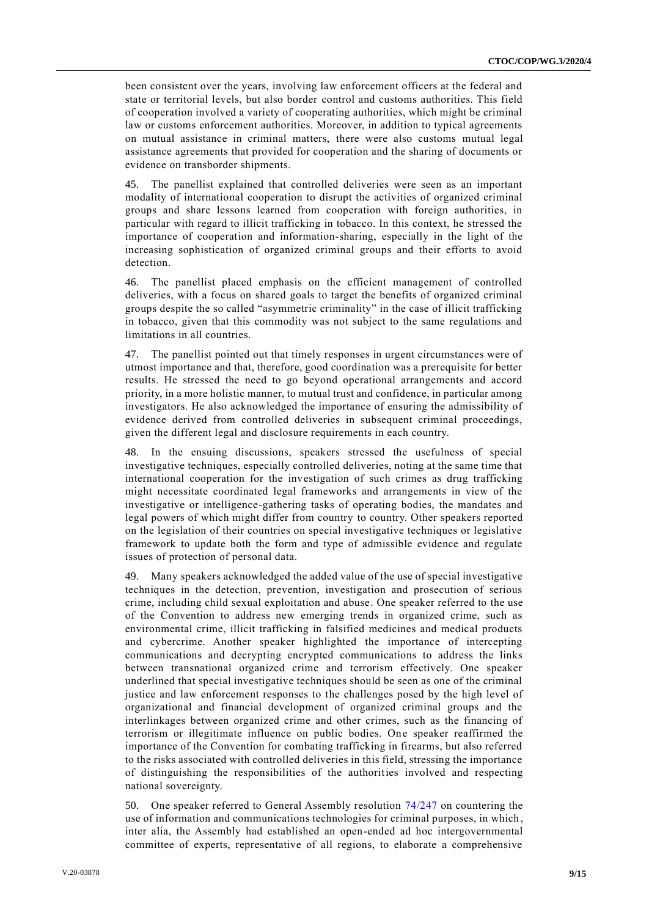been consistent over the years, involving law enforcement officers at the federal and state or territorial levels, but also border control and customs authorities. This field of cooperation involved a variety of cooperating authorities, which might be criminal law or customs enforcement authorities. Moreover, in addition to typical agreements on mutual assistance in criminal matters, there were also customs mutual legal assistance agreements that provided for cooperation and the sharing of documents or evidence on transborder shipments.

45. The panellist explained that controlled deliveries were seen as an important modality of international cooperation to disrupt the activities of organized criminal groups and share lessons learned from cooperation with foreign authorities, in particular with regard to illicit trafficking in tobacco. In this context, he stressed the importance of cooperation and information-sharing, especially in the light of the increasing sophistication of organized criminal groups and their efforts to avoid detection.

46. The panellist placed emphasis on the efficient management of controlled deliveries, with a focus on shared goals to target the benefits of organized criminal groups despite the so called "asymmetric criminality" in the case of illicit trafficking in tobacco, given that this commodity was not subject to the same regulations and limitations in all countries.

47. The panellist pointed out that timely responses in urgent circumstances were of utmost importance and that, therefore, good coordination was a prerequisite for better results. He stressed the need to go beyond operational arrangements and accord priority, in a more holistic manner, to mutual trust and confidence, in particular among investigators. He also acknowledged the importance of ensuring the admissibility of evidence derived from controlled deliveries in subsequent criminal proceedings, given the different legal and disclosure requirements in each country.

48. In the ensuing discussions, speakers stressed the usefulness of special investigative techniques, especially controlled deliveries, noting at the same time that international cooperation for the investigation of such crimes as drug trafficking might necessitate coordinated legal frameworks and arrangements in view of the investigative or intelligence-gathering tasks of operating bodies, the mandates and legal powers of which might differ from country to country. Other speakers reported on the legislation of their countries on special investigative techniques or legislative framework to update both the form and type of admissible evidence and regulate issues of protection of personal data.

49. Many speakers acknowledged the added value of the use of special investigative techniques in the detection, prevention, investigation and prosecution of serious crime, including child sexual exploitation and abuse. One speaker referred to the use of the Convention to address new emerging trends in organized crime, such as environmental crime, illicit trafficking in falsified medicines and medical products and cybercrime. Another speaker highlighted the importance of intercepting communications and decrypting encrypted communications to address the links between transnational organized crime and terrorism effectively. One speaker underlined that special investigative techniques should be seen as one of the criminal justice and law enforcement responses to the challenges posed by the high level of organizational and financial development of organized criminal groups and the interlinkages between organized crime and other crimes, such as the financing of terrorism or illegitimate influence on public bodies. One speaker reaffirmed the importance of the Convention for combating trafficking in firearms, but also referred to the risks associated with controlled deliveries in this field, stressing the importance of distinguishing the responsibilities of the authorities involved and respecting national sovereignty.

50. One speaker referred to General Assembly resolution [74/247](http://undocs.org/A/RES/74/247) on countering the use of information and communications technologies for criminal purposes, in which, inter alia, the Assembly had established an open-ended ad hoc intergovernmental committee of experts, representative of all regions, to elaborate a comprehensive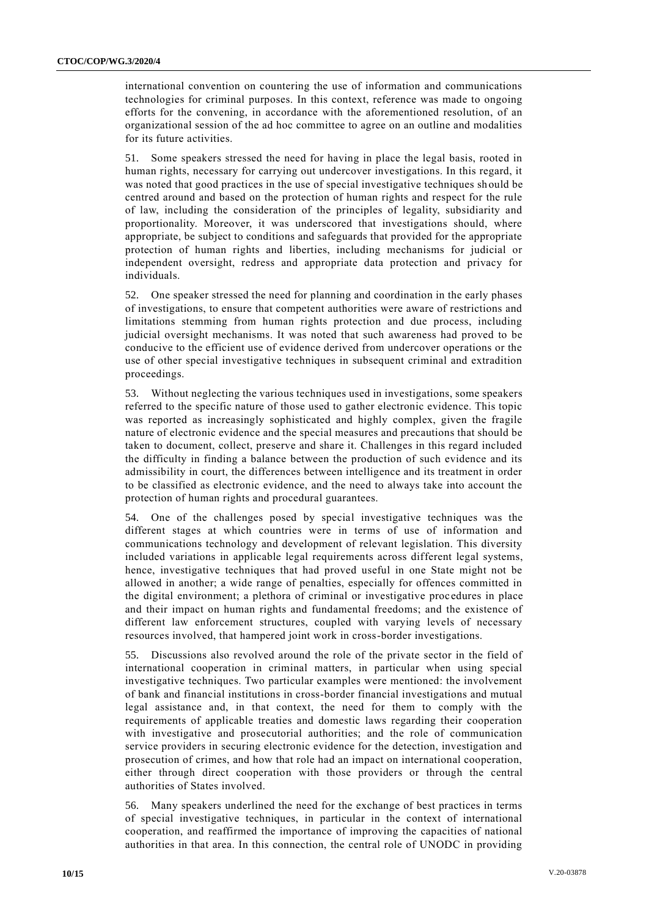international convention on countering the use of information and communications technologies for criminal purposes. In this context, reference was made to ongoing efforts for the convening, in accordance with the aforementioned resolution, of an organizational session of the ad hoc committee to agree on an outline and modalities for its future activities.

51. Some speakers stressed the need for having in place the legal basis, rooted in human rights, necessary for carrying out undercover investigations. In this regard, it was noted that good practices in the use of special investigative techniques sh ould be centred around and based on the protection of human rights and respect for the rule of law, including the consideration of the principles of legality, subsidiarity and proportionality. Moreover, it was underscored that investigations should, where appropriate, be subject to conditions and safeguards that provided for the appropriate protection of human rights and liberties, including mechanisms for judicial or independent oversight, redress and appropriate data protection and privacy for individuals.

52. One speaker stressed the need for planning and coordination in the early phases of investigations, to ensure that competent authorities were aware of restrictions and limitations stemming from human rights protection and due process, including judicial oversight mechanisms. It was noted that such awareness had proved to be conducive to the efficient use of evidence derived from undercover operations or the use of other special investigative techniques in subsequent criminal and extradition proceedings.

53. Without neglecting the various techniques used in investigations, some speakers referred to the specific nature of those used to gather electronic evidence. This topic was reported as increasingly sophisticated and highly complex, given the fragile nature of electronic evidence and the special measures and precautions that should be taken to document, collect, preserve and share it. Challenges in this regard included the difficulty in finding a balance between the production of such evidence and its admissibility in court, the differences between intelligence and its treatment in order to be classified as electronic evidence, and the need to always take into account the protection of human rights and procedural guarantees.

54. One of the challenges posed by special investigative techniques was the different stages at which countries were in terms of use of information and communications technology and development of relevant legislation. This diversity included variations in applicable legal requirements across different legal systems, hence, investigative techniques that had proved useful in one State might not be allowed in another; a wide range of penalties, especially for offences committed in the digital environment; a plethora of criminal or investigative proc edures in place and their impact on human rights and fundamental freedoms; and the existence of different law enforcement structures, coupled with varying levels of necessary resources involved, that hampered joint work in cross-border investigations.

55. Discussions also revolved around the role of the private sector in the field of international cooperation in criminal matters, in particular when using special investigative techniques. Two particular examples were mentioned: the involvement of bank and financial institutions in cross-border financial investigations and mutual legal assistance and, in that context, the need for them to comply with the requirements of applicable treaties and domestic laws regarding their cooperation with investigative and prosecutorial authorities; and the role of communication service providers in securing electronic evidence for the detection, investigation and prosecution of crimes, and how that role had an impact on international cooperation, either through direct cooperation with those providers or through the central authorities of States involved.

56. Many speakers underlined the need for the exchange of best practices in terms of special investigative techniques, in particular in the context of international cooperation, and reaffirmed the importance of improving the capacities of national authorities in that area. In this connection, the central role of UNODC in providing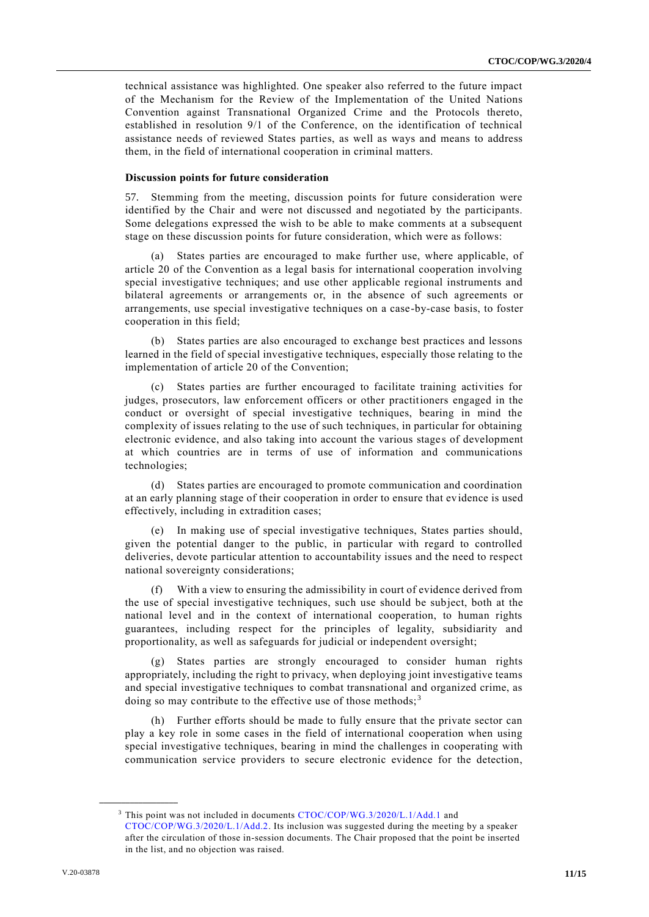technical assistance was highlighted. One speaker also referred to the future impact of the Mechanism for the Review of the Implementation of the United Nations Convention against Transnational Organized Crime and the Protocols thereto, established in resolution 9/1 of the Conference, on the identification of technical assistance needs of reviewed States parties, as well as ways and means to address them, in the field of international cooperation in criminal matters.

#### **Discussion points for future consideration**

57. Stemming from the meeting, discussion points for future consideration were identified by the Chair and were not discussed and negotiated by the participants. Some delegations expressed the wish to be able to make comments at a subsequent stage on these discussion points for future consideration, which were as follows:

(a) States parties are encouraged to make further use, where applicable, of article 20 of the Convention as a legal basis for international cooperation involving special investigative techniques; and use other applicable regional instruments and bilateral agreements or arrangements or, in the absence of such agreements or arrangements, use special investigative techniques on a case-by-case basis, to foster cooperation in this field;

(b) States parties are also encouraged to exchange best practices and lessons learned in the field of special investigative techniques, especially those relating to the implementation of article 20 of the Convention;

States parties are further encouraged to facilitate training activities for judges, prosecutors, law enforcement officers or other practitioners engaged in the conduct or oversight of special investigative techniques, bearing in mind the complexity of issues relating to the use of such techniques, in particular for obtaining electronic evidence, and also taking into account the various stage s of development at which countries are in terms of use of information and communications technologies;

(d) States parties are encouraged to promote communication and coordination at an early planning stage of their cooperation in order to ensure that ev idence is used effectively, including in extradition cases;

(e) In making use of special investigative techniques, States parties should, given the potential danger to the public, in particular with regard to controlled deliveries, devote particular attention to accountability issues and the need to respect national sovereignty considerations;

(f) With a view to ensuring the admissibility in court of evidence derived from the use of special investigative techniques, such use should be subject, both at the national level and in the context of international cooperation, to human rights guarantees, including respect for the principles of legality, subsidiarity and proportionality, as well as safeguards for judicial or independent oversight;

(g) States parties are strongly encouraged to consider human rights appropriately, including the right to privacy, when deploying joint investigative teams and special investigative techniques to combat transnational and organized crime, as doing so may contribute to the effective use of those methods;  $3^3$ 

(h) Further efforts should be made to fully ensure that the private sector can play a key role in some cases in the field of international cooperation when using special investigative techniques, bearing in mind the challenges in cooperating with communication service providers to secure electronic evidence for the detection,

<sup>&</sup>lt;sup>3</sup> This point was not included in documents [CTOC/COP/WG.3/2020/L.1/Add.1](http://undocs.org/CTOC/COP/WG.3/2020/L.1/Add.1) and [CTOC/COP/WG.3/2020/L.1/Add.2.](http://undocs.org/CTOC/COP/WG.3/2020/L.1/Add.2) Its inclusion was suggested during the meeting by a speaker after the circulation of those in-session documents. The Chair proposed that the point be inserted in the list, and no objection was raised.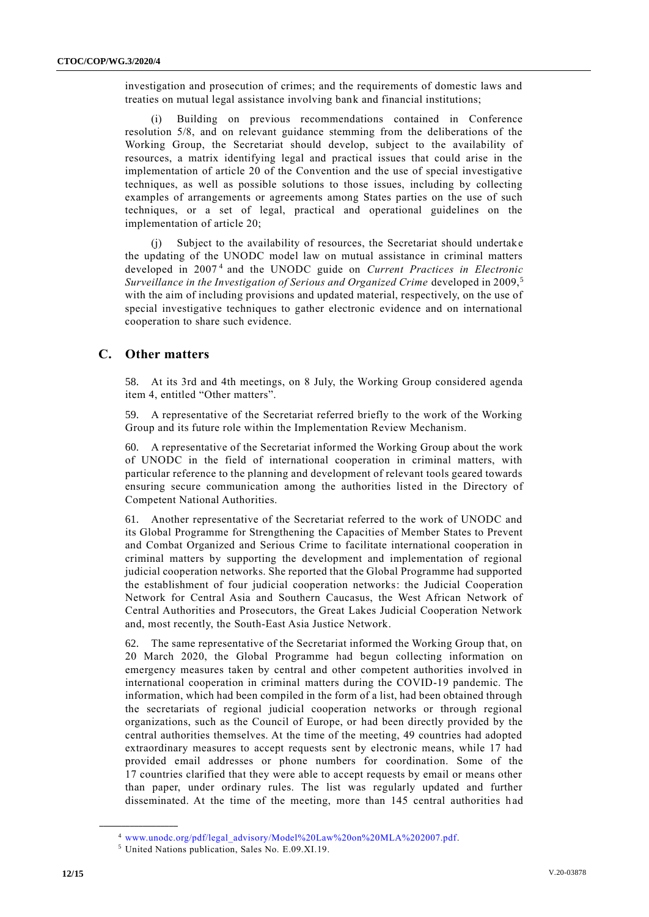investigation and prosecution of crimes; and the requirements of domestic laws and treaties on mutual legal assistance involving bank and financial institutions;

Building on previous recommendations contained in Conference resolution 5/8, and on relevant guidance stemming from the deliberations of the Working Group, the Secretariat should develop, subject to the availability of resources, a matrix identifying legal and practical issues that could arise in the implementation of article 20 of the Convention and the use of special investigative techniques, as well as possible solutions to those issues, including by collecting examples of arrangements or agreements among States parties on the use of such techniques, or a set of legal, practical and operational guidelines on the implementation of article 20;

(j) Subject to the availability of resources, the Secretariat should undertake the updating of the UNODC model law on mutual assistance in criminal matters developed in 2007<sup>4</sup> and the UNODC guide on *Current Practices in Electronic Surveillance in the Investigation of Serious and Organized Crime* developed in 2009,<sup>5</sup> with the aim of including provisions and updated material, respectively, on the use of special investigative techniques to gather electronic evidence and on international cooperation to share such evidence.

### **C. Other matters**

58. At its 3rd and 4th meetings, on 8 July, the Working Group considered agenda item 4, entitled "Other matters".

59. A representative of the Secretariat referred briefly to the work of the Working Group and its future role within the Implementation Review Mechanism.

60. A representative of the Secretariat informed the Working Group about the work of UNODC in the field of international cooperation in criminal matters, with particular reference to the planning and development of relevant tools geared towards ensuring secure communication among the authorities listed in the Directory of Competent National Authorities.

61. Another representative of the Secretariat referred to the work of UNODC and its Global Programme for Strengthening the Capacities of Member States to Prevent and Combat Organized and Serious Crime to facilitate international cooperation in criminal matters by supporting the development and implementation of regional judicial cooperation networks. She reported that the Global Programme had supported the establishment of four judicial cooperation networks: the Judicial Cooperation Network for Central Asia and Southern Caucasus, the West African Network of Central Authorities and Prosecutors, the Great Lakes Judicial Cooperation Network and, most recently, the South-East Asia Justice Network.

62. The same representative of the Secretariat informed the Working Group that, on 20 March 2020, the Global Programme had begun collecting information on emergency measures taken by central and other competent authorities involved in international cooperation in criminal matters during the COVID-19 pandemic. The information, which had been compiled in the form of a list, had been obtained through the secretariats of regional judicial cooperation networks or through regional organizations, such as the Council of Europe, or had been directly provided by the central authorities themselves. At the time of the meeting, 49 countries had adopted extraordinary measures to accept requests sent by electronic means, while 17 had provided email addresses or phone numbers for coordination. Some of the 17 countries clarified that they were able to accept requests by email or means other than paper, under ordinary rules. The list was regularly updated and further disseminated. At the time of the meeting, more than 145 central authorities h ad

<sup>4</sup> [www.unodc.org/pdf/legal\\_advisory/Model%20Law%20on%20MLA%202007.pdf.](http://www.unodc.org/pdf/legal_advisory/Model%20Law%20on%20MLA%202007.pdf)

<sup>5</sup> United Nations publication, Sales No. E.09.XI.19.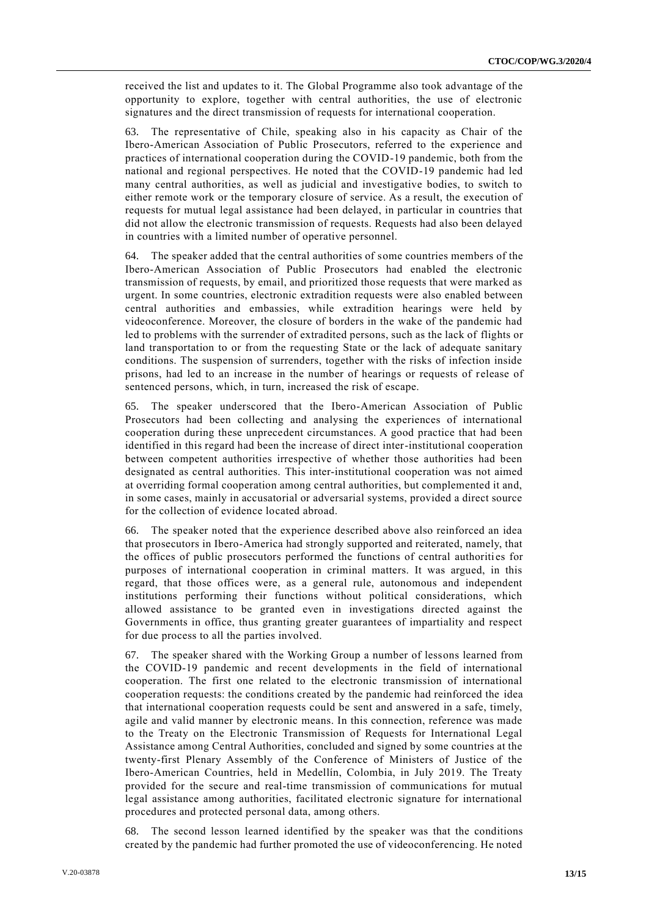received the list and updates to it. The Global Programme also took advantage of the opportunity to explore, together with central authorities, the use of electronic signatures and the direct transmission of requests for international cooperation.

63. The representative of Chile, speaking also in his capacity as Chair of the Ibero-American Association of Public Prosecutors, referred to the experience and practices of international cooperation during the COVID-19 pandemic, both from the national and regional perspectives. He noted that the COVID-19 pandemic had led many central authorities, as well as judicial and investigative bodies, to switch to either remote work or the temporary closure of service. As a result, the execution of requests for mutual legal assistance had been delayed, in particular in countries that did not allow the electronic transmission of requests. Requests had also been delayed in countries with a limited number of operative personnel.

64. The speaker added that the central authorities of some countries members of the Ibero-American Association of Public Prosecutors had enabled the electronic transmission of requests, by email, and prioritized those requests that were marked as urgent. In some countries, electronic extradition requests were also enabled between central authorities and embassies, while extradition hearings were held by videoconference. Moreover, the closure of borders in the wake of the pandemic had led to problems with the surrender of extradited persons, such as the lack of flights or land transportation to or from the requesting State or the lack of adequate sanitary conditions. The suspension of surrenders, together with the risks of infection inside prisons, had led to an increase in the number of hearings or requests of release of sentenced persons, which, in turn, increased the risk of escape.

65. The speaker underscored that the Ibero-American Association of Public Prosecutors had been collecting and analysing the experiences of international cooperation during these unprecedent circumstances. A good practice that had been identified in this regard had been the increase of direct inter-institutional cooperation between competent authorities irrespective of whether those authorities had been designated as central authorities. This inter-institutional cooperation was not aimed at overriding formal cooperation among central authorities, but complemented it and, in some cases, mainly in accusatorial or adversarial systems, provided a direct source for the collection of evidence located abroad.

66. The speaker noted that the experience described above also reinforced an idea that prosecutors in Ibero-America had strongly supported and reiterated, namely, that the offices of public prosecutors performed the functions of central authorities for purposes of international cooperation in criminal matters. It was argued, in this regard, that those offices were, as a general rule, autonomous and independent institutions performing their functions without political considerations, which allowed assistance to be granted even in investigations directed against the Governments in office, thus granting greater guarantees of impartiality and respect for due process to all the parties involved.

67. The speaker shared with the Working Group a number of lessons learned from the COVID-19 pandemic and recent developments in the field of international cooperation. The first one related to the electronic transmission of international cooperation requests: the conditions created by the pandemic had reinforced the idea that international cooperation requests could be sent and answered in a safe, timely, agile and valid manner by electronic means. In this connection, reference was made to the Treaty on the Electronic Transmission of Requests for International Legal Assistance among Central Authorities, concluded and signed by some countries at the twenty-first Plenary Assembly of the Conference of Ministers of Justice of the Ibero-American Countries, held in Medellín, Colombia, in July 2019. The Treaty provided for the secure and real-time transmission of communications for mutual legal assistance among authorities, facilitated electronic signature for international procedures and protected personal data, among others.

68. The second lesson learned identified by the speaker was that the conditions created by the pandemic had further promoted the use of videoconferencing. He noted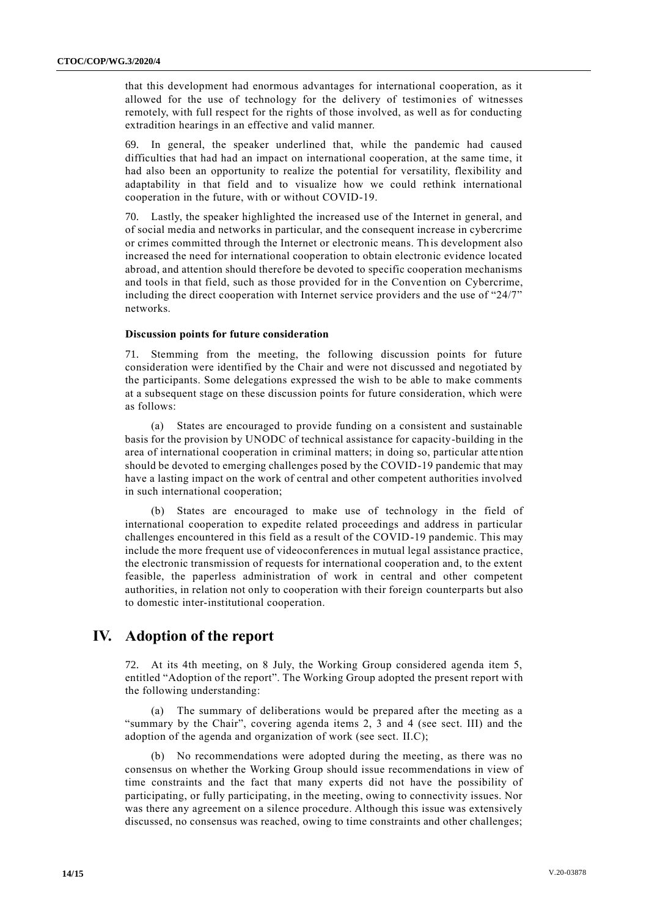that this development had enormous advantages for international cooperation, as it allowed for the use of technology for the delivery of testimonies of witnesses remotely, with full respect for the rights of those involved, as well as for conducting extradition hearings in an effective and valid manner.

69. In general, the speaker underlined that, while the pandemic had caused difficulties that had had an impact on international cooperation, at the same time, it had also been an opportunity to realize the potential for versatility, flexibility and adaptability in that field and to visualize how we could rethink international cooperation in the future, with or without COVID-19.

70. Lastly, the speaker highlighted the increased use of the Internet in general, and of social media and networks in particular, and the consequent increase in cybercrime or crimes committed through the Internet or electronic means. This development also increased the need for international cooperation to obtain electronic evidence located abroad, and attention should therefore be devoted to specific cooperation mechanisms and tools in that field, such as those provided for in the Convention on Cybercrime, including the direct cooperation with Internet service providers and the use of "24/7" networks.

#### **Discussion points for future consideration**

Stemming from the meeting, the following discussion points for future consideration were identified by the Chair and were not discussed and negotiated by the participants. Some delegations expressed the wish to be able to make comments at a subsequent stage on these discussion points for future consideration, which were as follows:

(a) States are encouraged to provide funding on a consistent and sustainable basis for the provision by UNODC of technical assistance for capacity-building in the area of international cooperation in criminal matters; in doing so, particular attention should be devoted to emerging challenges posed by the COVID-19 pandemic that may have a lasting impact on the work of central and other competent authorities involved in such international cooperation;

(b) States are encouraged to make use of technology in the field of international cooperation to expedite related proceedings and address in particular challenges encountered in this field as a result of the COVID-19 pandemic. This may include the more frequent use of videoconferences in mutual legal assistance practice, the electronic transmission of requests for international cooperation and, to the extent feasible, the paperless administration of work in central and other competent authorities, in relation not only to cooperation with their foreign counterparts but also to domestic inter-institutional cooperation.

## **IV. Adoption of the report**

72. At its 4th meeting, on 8 July, the Working Group considered agenda item 5, entitled "Adoption of the report". The Working Group adopted the present report with the following understanding:

(a) The summary of deliberations would be prepared after the meeting as a "summary by the Chair", covering agenda items 2, 3 and 4 (see sect. III) and the adoption of the agenda and organization of work (see sect. II.C);

(b) No recommendations were adopted during the meeting, as there was no consensus on whether the Working Group should issue recommendations in view of time constraints and the fact that many experts did not have the possibility of participating, or fully participating, in the meeting, owing to connectivity issues. Nor was there any agreement on a silence procedure. Although this issue was extensively discussed, no consensus was reached, owing to time constraints and other challenges;